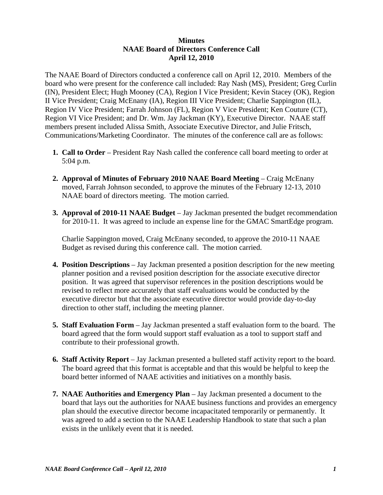## **Minutes NAAE Board of Directors Conference Call April 12, 2010**

The NAAE Board of Directors conducted a conference call on April 12, 2010. Members of the board who were present for the conference call included: Ray Nash (MS), President; Greg Curlin (IN), President Elect; Hugh Mooney (CA), Region I Vice President; Kevin Stacey (OK), Region II Vice President; Craig McEnany (IA), Region III Vice President; Charlie Sappington (IL), Region IV Vice President; Farrah Johnson (FL), Region V Vice President; Ken Couture (CT), Region VI Vice President; and Dr. Wm. Jay Jackman (KY), Executive Director. NAAE staff members present included Alissa Smith, Associate Executive Director, and Julie Fritsch, Communications/Marketing Coordinator. The minutes of the conference call are as follows:

- **1. Call to Order** President Ray Nash called the conference call board meeting to order at 5:04 p.m.
- **2. Approval of Minutes of February 2010 NAAE Board Meeting** Craig McEnany moved, Farrah Johnson seconded, to approve the minutes of the February 12-13, 2010 NAAE board of directors meeting. The motion carried.
- **3. Approval of 2010-11 NAAE Budget** Jay Jackman presented the budget recommendation for 2010-11. It was agreed to include an expense line for the GMAC SmartEdge program.

 Charlie Sappington moved, Craig McEnany seconded, to approve the 2010-11 NAAE Budget as revised during this conference call. The motion carried.

- **4. Position Descriptions** Jay Jackman presented a position description for the new meeting planner position and a revised position description for the associate executive director position. It was agreed that supervisor references in the position descriptions would be revised to reflect more accurately that staff evaluations would be conducted by the executive director but that the associate executive director would provide day-to-day direction to other staff, including the meeting planner.
- **5. Staff Evaluation Form**  Jay Jackman presented a staff evaluation form to the board. The board agreed that the form would support staff evaluation as a tool to support staff and contribute to their professional growth.
- **6. Staff Activity Report**  Jay Jackman presented a bulleted staff activity report to the board. The board agreed that this format is acceptable and that this would be helpful to keep the board better informed of NAAE activities and initiatives on a monthly basis.
- **7. NAAE Authorities and Emergency Plan** Jay Jackman presented a document to the board that lays out the authorities for NAAE business functions and provides an emergency plan should the executive director become incapacitated temporarily or permanently. It was agreed to add a section to the NAAE Leadership Handbook to state that such a plan exists in the unlikely event that it is needed.